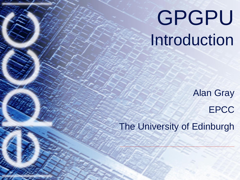# GPGPU Introduction

Alan Gray EPCC

The University of Edinburgh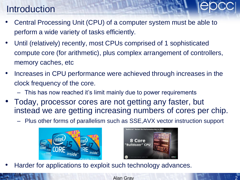# Introduction

- Central Processing Unit (CPU) of a computer system must be able to perform a wide variety of tasks efficiently.
- Until (relatively) recently, most CPUs comprised of 1 sophisticated compute core (for arithmetic), plus complex arrangement of controllers, memory caches, etc
- Increases in CPU performance were achieved through increases in the clock frequency of the core.
	- This has now reached it's limit mainly due to power requirements
- Today, processor cores are not getting any faster, but instead we are getting increasing numbers of cores per chip.
	- Plus other forms of parallelism such as SSE,AVX vector instruction support





Harder for applications to exploit such technology advances.

Alan Gray 2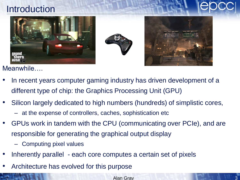# Introduction







Meanwhile….

- In recent years computer gaming industry has driven development of a different type of chip: the Graphics Processing Unit (GPU)
- Silicon largely dedicated to high numbers (hundreds) of simplistic cores,
	- at the expense of controllers, caches, sophistication etc
- GPUs work in tandem with the CPU (communicating over PCIe), and are responsible for generating the graphical output display
	- Computing pixel values
- Inherently parallel each core computes a certain set of pixels
- Architecture has evolved for this purpose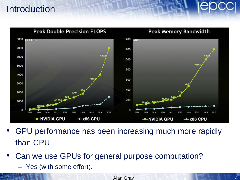# **Introduction**



- GPU performance has been increasing much more rapidly than CPU
- Can we use GPUs for general purpose computation?
	- Yes (with some effort).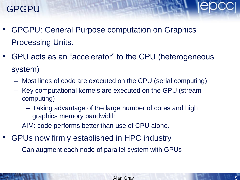

- GPGPU: General Purpose computation on Graphics Processing Units.
- GPU acts as an "accelerator" to the CPU (heterogeneous system)
	- Most lines of code are executed on the CPU (serial computing)
	- Key computational kernels are executed on the GPU (stream computing)
		- Taking advantage of the large number of cores and high graphics memory bandwidth
	- AIM: code performs better than use of CPU alone.
- GPUs now firmly established in HPC industry
	- Can augment each node of parallel system with GPUs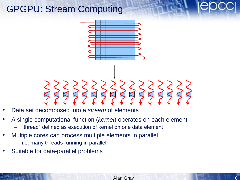# GPGPU: Stream Computing



- Data set decomposed into a *stream* of elements
- A single computational function (*kernel*) operates on each element – "thread" defined as execution of kernel on one data element
	- Multiple cores can process multiple elements in parallel
		- i.e. many threads running in parallel
- Suitable for data-parallel problems